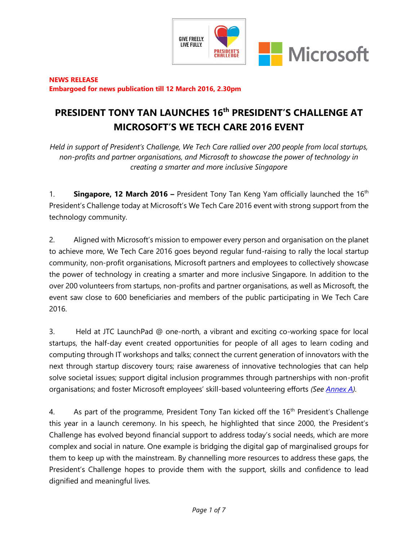

### **NEWS RELEASE Embargoed for news publication till 12 March 2016, 2.30pm**

# **PRESIDENT TONY TAN LAUNCHES 16th PRESIDENT'S CHALLENGE AT MICROSOFT'S WE TECH CARE 2016 EVENT**

*Held in support of President's Challenge, We Tech Care rallied over 200 people from local startups, non-profits and partner organisations, and Microsoft to showcase the power of technology in creating a smarter and more inclusive Singapore*

1. **Singapore, 12 March 2016 –** President Tony Tan Keng Yam officially launched the 16th President's Challenge today at Microsoft's We Tech Care 2016 event with strong support from the technology community.

2. Aligned with Microsoft's mission to empower every person and organisation on the planet to achieve more, We Tech Care 2016 goes beyond regular fund-raising to rally the local startup community, non-profit organisations, Microsoft partners and employees to collectively showcase the power of technology in creating a smarter and more inclusive Singapore. In addition to the over 200 volunteers from startups, non-profits and partner organisations, as well as Microsoft, the event saw close to 600 beneficiaries and members of the public participating in We Tech Care 2016.

3. Held at JTC LaunchPad @ one-north, a vibrant and exciting co-working space for local startups, the half-day event created opportunities for people of all ages to learn coding and computing through IT workshops and talks; connect the current generation of innovators with the next through startup discovery tours; raise awareness of innovative technologies that can help solve societal issues; support digital inclusion programmes through partnerships with non-profit organisations; and foster Microsoft employees' skill-based volunteering efforts *(See [Annex A\)](#page-4-0).*

4. As part of the programme, President Tony Tan kicked off the 16<sup>th</sup> President's Challenge this year in a launch ceremony. In his speech, he highlighted that since 2000, the President's Challenge has evolved beyond financial support to address today's social needs, which are more complex and social in nature. One example is bridging the digital gap of marginalised groups for them to keep up with the mainstream. By channelling more resources to address these gaps, the President's Challenge hopes to provide them with the support, skills and confidence to lead dignified and meaningful lives.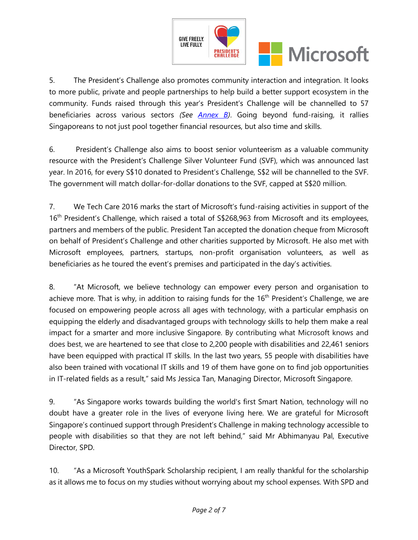

5. The President's Challenge also promotes community interaction and integration. It looks to more public, private and people partnerships to help build a better support ecosystem in the community. Funds raised through this year's President's Challenge will be channelled to 57 beneficiaries across various sectors *(See [Annex B\)](#page-5-0)*. Going beyond fund-raising, it rallies Singaporeans to not just pool together financial resources, but also time and skills.

6. President's Challenge also aims to boost senior volunteerism as a valuable community resource with the President's Challenge Silver Volunteer Fund (SVF), which was announced last year. In 2016, for every S\$10 donated to President's Challenge, S\$2 will be channelled to the SVF. The government will match dollar-for-dollar donations to the SVF, capped at S\$20 million.

7. We Tech Care 2016 marks the start of Microsoft's fund-raising activities in support of the 16<sup>th</sup> President's Challenge, which raised a total of S\$268,963 from Microsoft and its employees, partners and members of the public. President Tan accepted the donation cheque from Microsoft on behalf of President's Challenge and other charities supported by Microsoft. He also met with Microsoft employees, partners, startups, non-profit organisation volunteers, as well as beneficiaries as he toured the event's premises and participated in the day's activities.

8. "At Microsoft, we believe technology can empower every person and organisation to achieve more. That is why, in addition to raising funds for the  $16<sup>th</sup>$  President's Challenge, we are focused on empowering people across all ages with technology, with a particular emphasis on equipping the elderly and disadvantaged groups with technology skills to help them make a real impact for a smarter and more inclusive Singapore. By contributing what Microsoft knows and does best, we are heartened to see that close to 2,200 people with disabilities and 22,461 seniors have been equipped with practical IT skills. In the last two years, 55 people with disabilities have also been trained with vocational IT skills and 19 of them have gone on to find job opportunities in IT-related fields as a result," said Ms Jessica Tan, Managing Director, Microsoft Singapore.

9. "As Singapore works towards building the world's first Smart Nation, technology will no doubt have a greater role in the lives of everyone living here. We are grateful for Microsoft Singapore's continued support through President's Challenge in making technology accessible to people with disabilities so that they are not left behind," said Mr Abhimanyau Pal, Executive Director, SPD.

10. "As a Microsoft YouthSpark Scholarship recipient, I am really thankful for the scholarship as it allows me to focus on my studies without worrying about my school expenses. With SPD and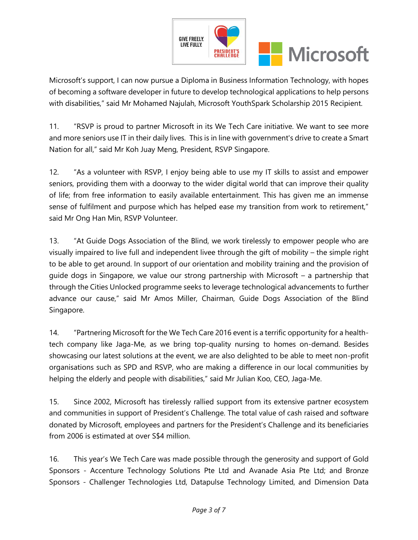

Microsoft's support, I can now pursue a Diploma in Business Information Technology, with hopes of becoming a software developer in future to develop technological applications to help persons with disabilities," said Mr Mohamed Najulah, Microsoft YouthSpark Scholarship 2015 Recipient.

11. "RSVP is proud to partner Microsoft in its We Tech Care initiative. We want to see more and more seniors use IT in their daily lives. This is in line with government's drive to create a Smart Nation for all," said Mr Koh Juay Meng, President, RSVP Singapore.

12. "As a volunteer with RSVP, I enjoy being able to use my IT skills to assist and empower seniors, providing them with a doorway to the wider digital world that can improve their quality of life; from free information to easily available entertainment. This has given me an immense sense of fulfilment and purpose which has helped ease my transition from work to retirement," said Mr Ong Han Min, RSVP Volunteer.

13. "At Guide Dogs Association of the Blind, we work tirelessly to empower people who are visually impaired to live full and independent livee through the gift of mobility – the simple right to be able to get around. In support of our orientation and mobility training and the provision of guide dogs in Singapore, we value our strong partnership with Microsoft – a partnership that through the Cities Unlocked programme seeks to leverage technological advancements to further advance our cause," said Mr Amos Miller, Chairman, Guide Dogs Association of the Blind Singapore.

14. "Partnering Microsoft for the We Tech Care 2016 event is a terrific opportunity for a healthtech company like Jaga-Me, as we bring top-quality nursing to homes on-demand. Besides showcasing our latest solutions at the event, we are also delighted to be able to meet non-profit organisations such as SPD and RSVP, who are making a difference in our local communities by helping the elderly and people with disabilities," said Mr Julian Koo, CEO, Jaga-Me.

15. Since 2002, Microsoft has tirelessly rallied support from its extensive partner ecosystem and communities in support of President's Challenge. The total value of cash raised and software donated by Microsoft, employees and partners for the President's Challenge and its beneficiaries from 2006 is estimated at over S\$4 million.

16. This year's We Tech Care was made possible through the generosity and support of Gold Sponsors - Accenture Technology Solutions Pte Ltd and Avanade Asia Pte Ltd; and Bronze Sponsors - Challenger Technologies Ltd, Datapulse Technology Limited, and Dimension Data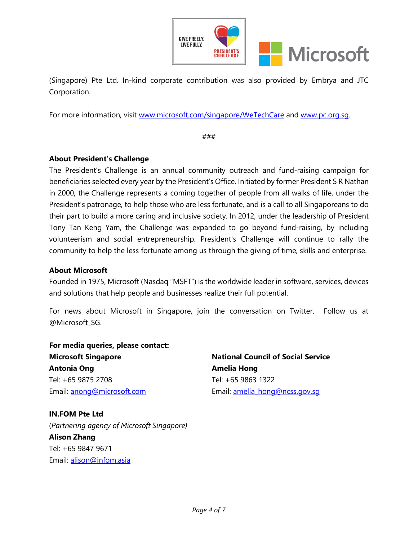

(Singapore) Pte Ltd. In-kind corporate contribution was also provided by Embrya and JTC Corporation.

For more information, visit [www.microsoft.com/singapore/WeTechCare](http://www.microsoft.com/singapore/WeTechCare) and [www.pc.org.sg.](http://www.pc.org.sg/)

###

# **About President's Challenge**

The President's Challenge is an annual community outreach and fund-raising campaign for beneficiaries selected every year by the President's Office. Initiated by former President S R Nathan in 2000, the Challenge represents a coming together of people from all walks of life, under the President's patronage, to help those who are less fortunate, and is a call to all Singaporeans to do their part to build a more caring and inclusive society. In 2012, under the leadership of President Tony Tan Keng Yam, the Challenge was expanded to go beyond fund-raising, by including volunteerism and social entrepreneurship. President's Challenge will continue to rally the community to help the less fortunate among us through the giving of time, skills and enterprise.

### **About Microsoft**

Founded in 1975, Microsoft (Nasdaq "MSFT") is the worldwide leader in software, services, devices and solutions that help people and businesses realize their full potential.

For news about Microsoft in Singapore, join the conversation on Twitter. Follow us at [@Microsoft\\_SG.](https://twitter.com/Microsoft_SG)

**For media queries, please contact: Microsoft Singapore Antonia Ong** Tel: +65 9875 2708 Email: [anong@microsoft.com](mailto:anong@microsoft.com)

# **IN.FOM Pte Ltd**

(*Partnering agency of Microsoft Singapore)* **Alison Zhang** Tel: +65 9847 9671 Email: [alison@infom.asia](mailto:alison@infom.asia)

**National Council of Social Service Amelia Hong** Tel: +65 9863 1322 Email: [amelia\\_hong@ncss.gov.sg](mailto:amelia_hong@ncss.gov.sg)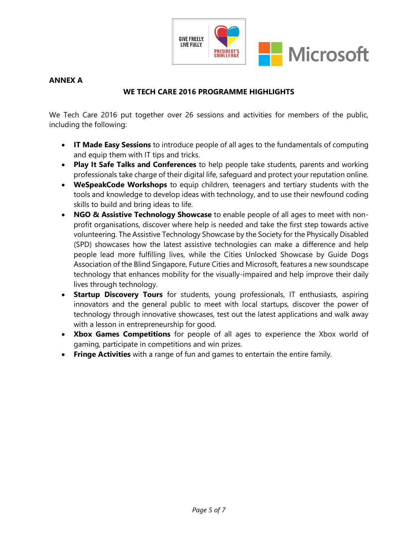

# <span id="page-4-0"></span>**ANNEX A**

# **WE TECH CARE 2016 PROGRAMME HIGHLIGHTS**

We Tech Care 2016 put together over 26 sessions and activities for members of the public, including the following:

- **IT Made Easy Sessions** to introduce people of all ages to the fundamentals of computing and equip them with IT tips and tricks.
- **Play It Safe Talks and Conferences** to help people take students, parents and working professionals take charge of their digital life, safeguard and protect your reputation online.
- **WeSpeakCode Workshops** to equip children, teenagers and tertiary students with the tools and knowledge to develop ideas with technology, and to use their newfound coding skills to build and bring ideas to life.
- **NGO & Assistive Technology Showcase** to enable people of all ages to meet with nonprofit organisations, discover where help is needed and take the first step towards active volunteering. The Assistive Technology Showcase by the Society for the Physically Disabled (SPD) showcases how the latest assistive technologies can make a difference and help people lead more fulfilling lives, while the Cities Unlocked Showcase by Guide Dogs Association of the Blind Singapore, Future Cities and Microsoft, features a new soundscape technology that enhances mobility for the visually-impaired and help improve their daily lives through technology.
- **Startup Discovery Tours** for students, young professionals, IT enthusiasts, aspiring innovators and the general public to meet with local startups, discover the power of technology through innovative showcases, test out the latest applications and walk away with a lesson in entrepreneurship for good.
- **Xbox Games Competitions** for people of all ages to experience the Xbox world of gaming, participate in competitions and win prizes.
- **Fringe Activities** with a range of fun and games to entertain the entire family.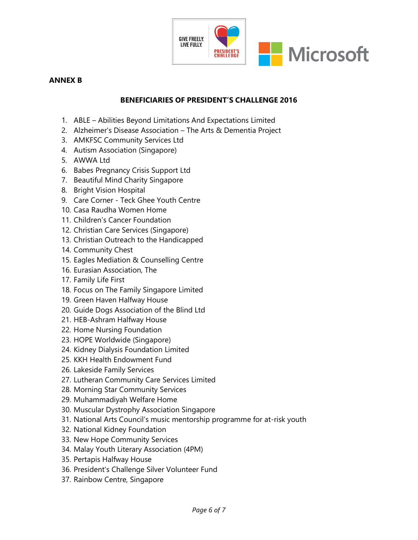

### <span id="page-5-0"></span>**ANNEX B**

### **BENEFICIARIES OF PRESIDENT'S CHALLENGE 2016**

- 1. ABLE Abilities Beyond Limitations And Expectations Limited
- 2. Alzheimer's Disease Association The Arts & Dementia Project
- 3. AMKFSC Community Services Ltd
- 4. Autism Association (Singapore)
- 5. AWWA Ltd
- 6. Babes Pregnancy Crisis Support Ltd
- 7. Beautiful Mind Charity Singapore
- 8. Bright Vision Hospital
- 9. Care Corner Teck Ghee Youth Centre
- 10. Casa Raudha Women Home
- 11. Children's Cancer Foundation
- 12. Christian Care Services (Singapore)
- 13. Christian Outreach to the Handicapped
- 14. Community Chest
- 15. Eagles Mediation & Counselling Centre
- 16. Eurasian Association, The
- 17. Family Life First
- 18. Focus on The Family Singapore Limited
- 19. Green Haven Halfway House
- 20. Guide Dogs Association of the Blind Ltd
- 21. HEB-Ashram Halfway House
- 22. Home Nursing Foundation
- 23. HOPE Worldwide (Singapore)
- 24. Kidney Dialysis Foundation Limited
- 25. KKH Health Endowment Fund
- 26. Lakeside Family Services
- 27. Lutheran Community Care Services Limited
- 28. Morning Star Community Services
- 29. Muhammadiyah Welfare Home
- 30. Muscular Dystrophy Association Singapore
- 31. National Arts Council's music mentorship programme for at-risk youth
- 32. National Kidney Foundation
- 33. New Hope Community Services
- 34. Malay Youth Literary Association (4PM)
- 35. Pertapis Halfway House
- 36. President's Challenge Silver Volunteer Fund
- 37. Rainbow Centre, Singapore